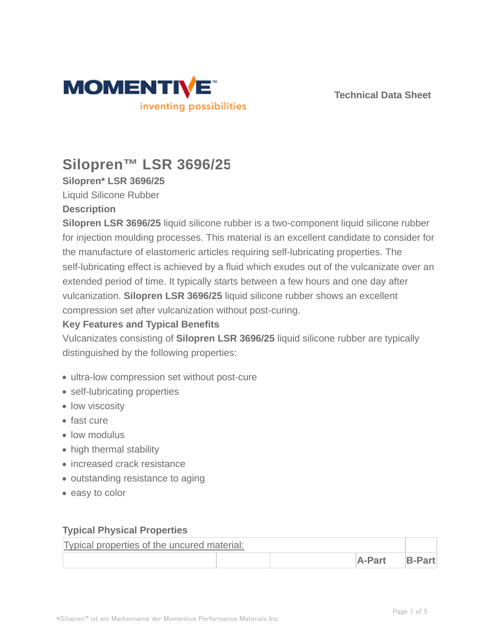



# **Silopren™ LSR 3696/25**

**Silopren\* LSR 3696/25**

Liquid Silicone Rubber

#### **Description**

**Silopren LSR 3696/25** liquid silicone rubber is a two-component liquid silicone rubber for injection moulding processes. This material is an excellent candidate to consider for the manufacture of elastomeric articles requiring self-lubricating properties. The self-lubricating effect is achieved by a fluid which exudes out of the vulcanizate over an extended period of time. It typically starts between a few hours and one day after vulcanization. **Silopren LSR 3696/25** liquid silicone rubber shows an excellent compression set after vulcanization without post-curing.

### **Key Features and Typical Benefits**

Vulcanizates consisting of **Silopren LSR 3696/25** liquid silicone rubber are typically distinguished by the following properties:

- ultra-low compression set without post-cure
- self-lubricating properties
- low viscosity
- fast cure
- low modulus
- high thermal stability
- **·** increased crack resistance
- outstanding resistance to aging
- easy to color

#### **Typical Physical Properties**

| Typical properties of the uncured material: |        |        |  |  |
|---------------------------------------------|--------|--------|--|--|
|                                             | A-Part | B-Part |  |  |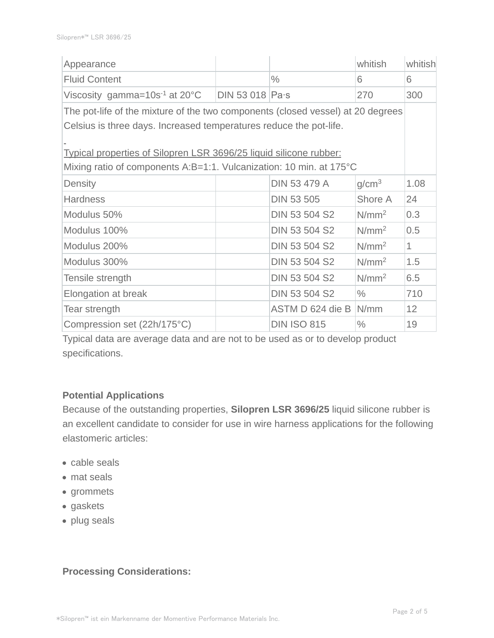| Appearance                                                                                                                                |                |                      | whitish           | whitish      |  |
|-------------------------------------------------------------------------------------------------------------------------------------------|----------------|----------------------|-------------------|--------------|--|
| <b>Fluid Content</b>                                                                                                                      |                | $\frac{0}{0}$        | 6                 | 6            |  |
| Viscosity gamma= $10s^{-1}$ at 20 $^{\circ}$ C                                                                                            | DIN 53 018 Pas |                      | 270               | 300          |  |
| The pot-life of the mixture of the two components (closed vessel) at 20 degrees                                                           |                |                      |                   |              |  |
| Celsius is three days. Increased temperatures reduce the pot-life.                                                                        |                |                      |                   |              |  |
| Typical properties of Silopren LSR 3696/25 liquid silicone rubber:<br>Mixing ratio of components A:B=1:1. Vulcanization: 10 min. at 175°C |                |                      |                   |              |  |
| Density                                                                                                                                   |                | DIN 53 479 A         | g/cm <sup>3</sup> | 1.08         |  |
| <b>Hardness</b>                                                                                                                           |                | <b>DIN 53 505</b>    | Shore A           | 24           |  |
| Modulus 50%                                                                                                                               |                | DIN 53 504 S2        | N/mm <sup>2</sup> | 0.3          |  |
| Modulus 100%                                                                                                                              |                | <b>DIN 53 504 S2</b> | $N/mm^2$          | 0.5          |  |
| Modulus 200%                                                                                                                              |                | <b>DIN 53 504 S2</b> | N/mm <sup>2</sup> | $\mathbf{1}$ |  |
| Modulus 300%                                                                                                                              |                | <b>DIN 53 504 S2</b> | N/mm <sup>2</sup> | 1.5          |  |
| Tensile strength                                                                                                                          |                | <b>DIN 53 504 S2</b> | N/mm <sup>2</sup> | 6.5          |  |
| Elongation at break                                                                                                                       |                | <b>DIN 53 504 S2</b> | $\frac{0}{0}$     | 710          |  |
| Tear strength                                                                                                                             |                | ASTM D 624 die B     | N/mm              | 12           |  |
| Compression set (22h/175°C)                                                                                                               |                | <b>DIN ISO 815</b>   | $\frac{0}{0}$     | 19           |  |

Typical data are average data and are not to be used as or to develop product specifications.

## **Potential Applications**

Because of the outstanding properties, **Silopren LSR 3696/25** liquid silicone rubber is an excellent candidate to consider for use in wire harness applications for the following elastomeric articles:

- cable seals
- mat seals
- grommets
- gaskets
- plug seals

## **Processing Considerations:**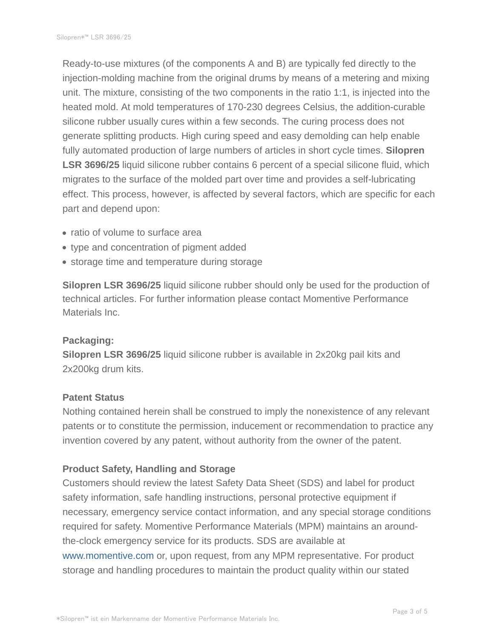Ready-to-use mixtures (of the components A and B) are typically fed directly to the injection-molding machine from the original drums by means of a metering and mixing unit. The mixture, consisting of the two components in the ratio 1:1, is injected into the heated mold. At mold temperatures of 170-230 degrees Celsius, the addition-curable silicone rubber usually cures within a few seconds. The curing process does not generate splitting products. High curing speed and easy demolding can help enable fully automated production of large numbers of articles in short cycle times. **Silopren LSR 3696/25** liquid silicone rubber contains 6 percent of a special silicone fluid, which migrates to the surface of the molded part over time and provides a self-lubricating effect. This process, however, is affected by several factors, which are specific for each part and depend upon:

- ratio of volume to surface area
- type and concentration of pigment added
- storage time and temperature during storage

**Silopren LSR 3696/25** liquid silicone rubber should only be used for the production of technical articles. For further information please contact Momentive Performance Materials Inc.

## **Packaging:**

**Silopren LSR 3696/25** liquid silicone rubber is available in 2x20kg pail kits and 2x200kg drum kits.

#### **Patent Status**

Nothing contained herein shall be construed to imply the nonexistence of any relevant patents or to constitute the permission, inducement or recommendation to practice any invention covered by any patent, without authority from the owner of the patent.

## **Product Safety, Handling and Storage**

Customers should review the latest Safety Data Sheet (SDS) and label for product safety information, safe handling instructions, personal protective equipment if necessary, emergency service contact information, and any special storage conditions required for safety. Momentive Performance Materials (MPM) maintains an aroundthe-clock emergency service for its products. SDS are available at www.momentive.com or, upon request, from any MPM representative. For product storage and handling procedures to maintain the product quality within our stated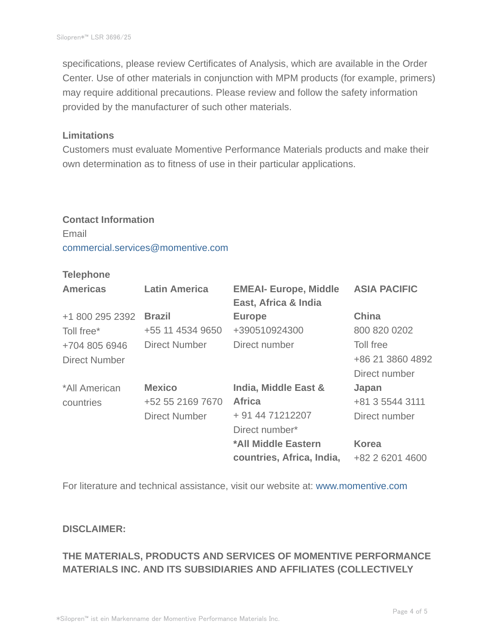specifications, please review Certificates of Analysis, which are available in the Order Center. Use of other materials in conjunction with MPM products (for example, primers) may require additional precautions. Please review and follow the safety information provided by the manufacturer of such other materials.

#### **Limitations**

Customers must evaluate Momentive Performance Materials products and make their own determination as to fitness of use in their particular applications.

# **Contact Information** Email commercial.services@momentive.com

## **Telephone**

| <b>Americas</b>      | <b>Latin America</b> | <b>EMEAI- Europe, Middle</b><br>East, Africa & India | <b>ASIA PACIFIC</b> |
|----------------------|----------------------|------------------------------------------------------|---------------------|
| +1 800 295 2392      | <b>Brazil</b>        | <b>Europe</b>                                        | China               |
| Toll free*           | +55 11 4534 9650     | +390510924300                                        | 800 820 0202        |
| +704 805 6946        | <b>Direct Number</b> | Direct number                                        | Toll free           |
| <b>Direct Number</b> |                      |                                                      | +86 21 3860 4892    |
|                      |                      |                                                      | Direct number       |
| *All American        | <b>Mexico</b>        | India, Middle East &                                 | Japan               |
| countries            | +52 55 2169 7670     | <b>Africa</b>                                        | +81 3 5544 3111     |
|                      | <b>Direct Number</b> | + 91 44 71212207                                     | Direct number       |
|                      |                      | Direct number*                                       |                     |
|                      |                      | *All Middle Eastern                                  | <b>Korea</b>        |
|                      |                      | countries, Africa, India,                            | +82 2 6201 4600     |

For literature and technical assistance, visit our website at: www.momentive.com

#### **DISCLAIMER:**

## **THE MATERIALS, PRODUCTS AND SERVICES OF MOMENTIVE PERFORMANCE MATERIALS INC. AND ITS SUBSIDIARIES AND AFFILIATES (COLLECTIVELY**